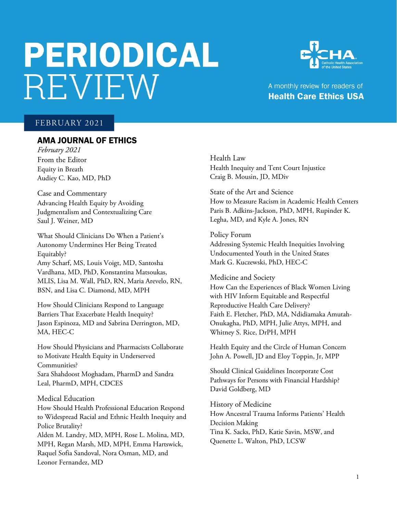# PERIODICAL **REVIEW**



## A monthly review for readers of **Health Care Ethics USA**

## FEBRUARY 2021

## AMA JOURNAL OF ETHICS

*February 2021* From the Editor Equity in Breath Audiey C. Kao, MD, PhD

Case and Commentary Advancing Health Equity by Avoiding Judgmentalism and Contextualizing Care Saul J. Weiner, MD

What Should Clinicians Do When a Patient's Autonomy Undermines Her Being Treated Equitably? Amy Scharf, MS, Louis Voigt, MD, Santosha Vardhana, MD, PhD, Konstantina Matsoukas, MLIS, Lisa M. Wall, PhD, RN, Maria Arevelo, RN, BSN, and Lisa C. Diamond, MD, MPH

How Should Clinicians Respond to Language Barriers That Exacerbate Health Inequity? Jason Espinoza, MD and Sabrina Derrington, MD, MA, HEC-C

How Should Physicians and Pharmacists Collaborate to Motivate Health Equity in Underserved Communities? Sara Shahdoost Moghadam, PharmD and Sandra Leal, PharmD, MPH, CDCES

Medical Education

How Should Health Professional Education Respond to Widespread Racial and Ethnic Health Inequity and Police Brutality? Alden M. Landry, MD, MPH, Rose L. Molina, MD, MPH, Regan Marsh, MD, MPH, Emma Hartswick, Raquel Sofia Sandoval, Nora Osman, MD, and Leonor Fernandez, MD

Health Law Health Inequity and Tent Court Injustice Craig B. Mousin, JD, MDiv

State of the Art and Science How to Measure Racism in Academic Health Centers Paris B. Adkins-Jackson, PhD, MPH, Rupinder K. Legha, MD, and Kyle A. Jones, RN

Policy Forum Addressing Systemic Health Inequities Involving Undocumented Youth in the United States Mark G. Kuczewski, PhD, HEC-C

Medicine and Society How Can the Experiences of Black Women Living with HIV Inform Equitable and Respectful Reproductive Health Care Delivery? Faith E. Fletcher, PhD, MA, Ndidiamaka Amutah-Onukagha, PhD, MPH, Julie Attys, MPH, and Whitney S. Rice, DrPH, MPH

Health Equity and the Circle of Human Concern John A. Powell, JD and Eloy Toppin, Jr, MPP

Should Clinical Guidelines Incorporate Cost Pathways for Persons with Financial Hardship? David Goldberg, MD

History of Medicine How Ancestral Trauma Informs Patients' Health Decision Making Tina K. Sacks, PhD, Katie Savin, MSW, and Quenette L. Walton, PhD, LCSW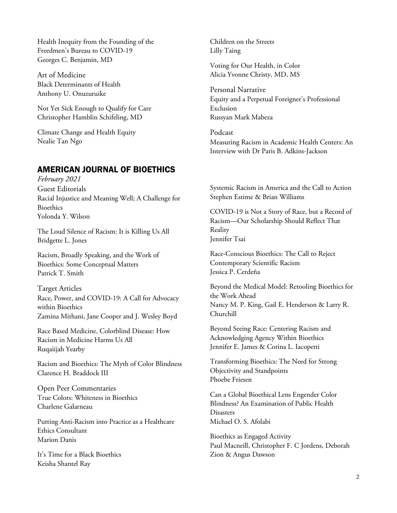Health Inequity from the Founding of the Freedmen's Bureau to COVID-19 Georges C. Benjamin, MD

Art of Medicine Black Determinants of Health Anthony U. Onuzuruike

Not Yet Sick Enough to Qualify for Care Christopher Hamblin Schifeling, MD

Climate Change and Health Equity Nealie Tan Ngo

## AMERICAN JOURNAL OF BIOETHICS

*February 2021* Guest Editorials Racial Injustice and Meaning Well; A Challenge for Bioethics Yolonda Y. Wilson

The Loud Silence of Racism: It is Killing Us All Bridgette L. Jones

Racism, Broadly Speaking, and the Work of Bioethics: Some Conceptual Matters Patrick T. Smith

Target Articles Race, Power, and COVID-19: A Call for Advocacy within Bioethics Zamina Mithani, Jane Cooper and J. Wesley Boyd

Race Based Medicine, Colorblind Disease: How Racism in Medicine Harms Us All Ruqaiijah Yearby

Racism and Bioethics: The Myth of Color Blindness Clarence H. Braddock III

Open Peer Commentaries True Colors: Whiteness in Bioethics Charlene Galarneau

Putting Anti-Racism into Practice as a Healthcare Ethics Consultant Marion Danis

It's Time for a Black Bioethics Keisha Shantel Ray

Children on the Streets Lilly Taing

Voting for Our Health, in Color Alicia Yvonne Christy, MD, MS

Personal Narrative Equity and a Perpetual Foreigner's Professional Exclusion Russyan Mark Mabeza

Podcast Measuring Racism in Academic Health Centers: An Interview with Dr Paris B. Adkins-Jackson

Systemic Racism in America and the Call to Action Stephen Estime & Brian Williams

COVID-19 is Not a Story of Race, but a Record of Racism—Our Scholarship Should Reflect That Reality Jennifer Tsai

Race-Conscious Bioethics: The Call to Reject Contemporary Scientific Racism Jessica P. Cerdeña

Beyond the Medical Model: Retooling Bioethics for the Work Ahead Nancy M. P. King, Gail E. Henderson & Larry R. Churchill

Beyond Seeing Race: Centering Racism and Acknowledging Agency Within Bioethics Jennifer E. James & Corina L. Iacopetti

Transforming Bioethics: The Need for Strong Objectivity and Standpoints Phoebe Friesen

Can a Global Bioethical Lens Engender Color Blindness? An Examination of Public Health Disasters Michael O. S. Afolabi

Bioethics as Engaged Activity Paul Macneill, Christopher F. C Jordens, Deborah Zion & Angus Dawson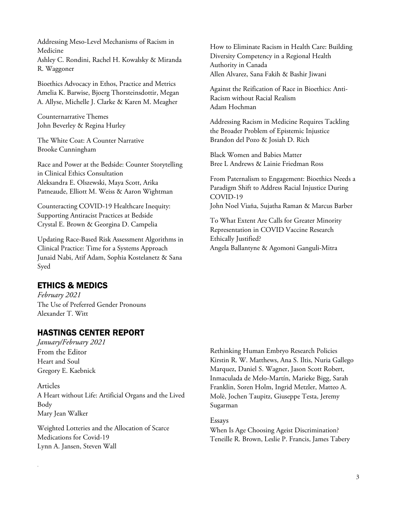Addressing Meso-Level Mechanisms of Racism in Medicine Ashley C. Rondini, Rachel H. Kowalsky & Miranda R. Waggoner

Bioethics Advocacy in Ethos, Practice and Metrics Amelia K. Barwise, Bjoerg Thorsteinsdottir, Megan A. Allyse, Michelle J. Clarke & Karen M. Meagher

Counternarrative Themes John Beverley & Regina Hurley

The White Coat: A Counter Narrative Brooke Cunningham

Race and Power at the Bedside: Counter Storytelling in Clinical Ethics Consultation Aleksandra E. Olszewski, Maya Scott, Arika Patneaude, Elliott M. Weiss & Aaron Wightman

Counteracting COVID-19 Healthcare Inequity: Supporting Antiracist Practices at Bedside Crystal E. Brown & Georgina D. Campelia

Updating Race-Based Risk Assessment Algorithms in Clinical Practice: Time for a Systems Approach Junaid Nabi, Atif Adam, Sophia Kostelanetz & Sana Syed

## ETHICS & MEDICS

*February 2021* The Use of Preferred Gender Pronouns Alexander T. Witt

## HASTINGS CENTER REPORT

*January/February 2021* From the Editor Heart and Soul Gregory E. Kaebnick

.

Articles A Heart without Life: Artificial Organs and the Lived Body Mary Jean Walker

Weighted Lotteries and the Allocation of Scarce Medications for Covid‐19 Lynn A. Jansen, Steven Wall

How to Eliminate Racism in Health Care: Building Diversity Competency in a Regional Health Authority in Canada Allen Alvarez, Sana Fakih & Bashir Jiwani

Against the Reification of Race in Bioethics: Anti-Racism without Racial Realism Adam Hochman

Addressing Racism in Medicine Requires Tackling the Broader Problem of Epistemic Injustice Brandon del Pozo & Josiah D. Rich

Black Women and Babies Matter Bree L Andrews & Lainie Friedman Ross

From Paternalism to Engagement: Bioethics Needs a Paradigm Shift to Address Racial Injustice During COVID-19 John Noel Viaña, Sujatha Raman & Marcus Barber

To What Extent Are Calls for Greater Minority Representation in COVID Vaccine Research Ethically Justified? Angela Ballantyne & Agomoni Ganguli-Mitra

Rethinking Human Embryo Research Policies Kirstin R. W. Matthews, Ana S. Iltis, Nuria Gallego Marquez, Daniel S. Wagner, Jason Scott Robert, Inmaculada de Melo‐Martín, Marieke Bigg, Sarah Franklin, Soren Holm, Ingrid Metzler, Matteo A. Molè, Jochen Taupitz, Giuseppe Testa, Jeremy Sugarman

Essays When Is Age Choosing Ageist Discrimination? Teneille R. Brown, Leslie P. Francis, James Tabery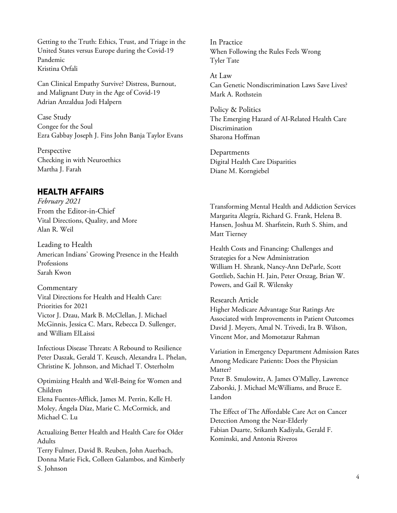Getting to the Truth: Ethics, Trust, and Triage in the United States versus Europe during the Covid‐19 Pandemic Kristina Orfali

Can Clinical Empathy Survive? Distress, Burnout, and Malignant Duty in the Age of Covid‐19 Adrian Anzaldua Jodi Halpern

Case Study Congee for the Soul Ezra Gabbay Joseph J. Fins John Banja Taylor Evans

Perspective Checking in with Neuroethics Martha J. Farah

## HEALTH AFFAIRS

*February 2021* From the Editor-in-Chief Vital Directions, Quality, and More Alan R. Weil

Leading to Health American Indians' Growing Presence in the Health Professions Sarah Kwon

Commentary Vital Directions for Health and Health Care: Priorities for 2021 Victor J. Dzau, Mark B. McClellan, J. Michael McGinnis, Jessica C. Marx, Rebecca D. Sullenger, and William ElLaissi

Infectious Disease Threats: A Rebound to Resilience Peter Daszak, Gerald T. Keusch, Alexandra L. Phelan, Christine K. Johnson, and Michael T. Osterholm

Optimizing Health and Well-Being for Women and Children Elena Fuentes-Afflick, James M. Perrin, Kelle H. Moley, Ángela Díaz, Marie C. McCormick, and Michael C. Lu

Actualizing Better Health and Health Care for Older Adults

Terry Fulmer, David B. Reuben, John Auerbach, Donna Marie Fick, Colleen Galambos, and Kimberly S. Johnson

In Practice When Following the Rules Feels Wrong Tyler Tate

At Law Can Genetic Nondiscrimination Laws Save Lives? Mark A. Rothstein

Policy & Politics The Emerging Hazard of AI‐Related Health Care Discrimination Sharona Hoffman

Departments Digital Health Care Disparities Diane M. Korngiebel

Transforming Mental Health and Addiction Services Margarita Alegría, Richard G. Frank, Helena B. Hansen, Joshua M. Sharfstein, Ruth S. Shim, and Matt Tierney

Health Costs and Financing: Challenges and Strategies for a New Administration William H. Shrank, Nancy-Ann DeParle, Scott Gottlieb, Sachin H. Jain, Peter Orszag, Brian W. Powers, and Gail R. Wilensky

Research Article

Higher Medicare Advantage Star Ratings Are Associated with Improvements in Patient Outcomes David J. Meyers, Amal N. Trivedi, Ira B. Wilson, Vincent Mor, and Momotazur Rahman

Variation in Emergency Department Admission Rates Among Medicare Patients: Does the Physician Matter?

Peter B. Smulowitz, A. James O'Malley, Lawrence Zaborski, J. Michael McWilliams, and Bruce E. Landon

The Effect of The Affordable Care Act on Cancer Detection Among the Near-Elderly Fabian Duarte, Srikanth Kadiyala, Gerald F. Kominski, and Antonia Riveros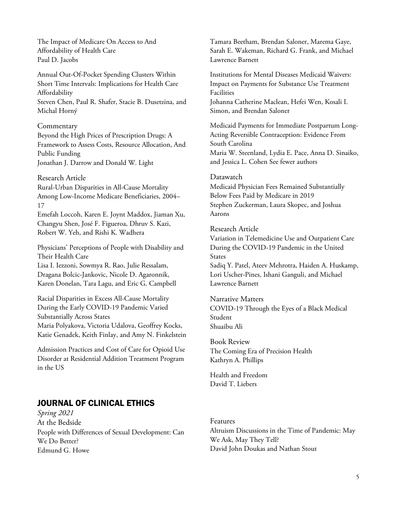The Impact of Medicare On Access to And Affordability of Health Care Paul D. Jacobs

Annual Out-Of-Pocket Spending Clusters Within Short Time Intervals: Implications for Health Care Affordability Steven Chen, Paul R. Shafer, Stacie B. Dusetzina, and Michal Horný

#### Commentary

Beyond the High Prices of Prescription Drugs: A Framework to Assess Costs, Resource Allocation, And Public Funding Jonathan J. Darrow and Donald W. Light

#### Research Article

Rural-Urban Disparities in All-Cause Mortality Among Low-Income Medicare Beneficiaries, 2004– 17

Emefah Loccoh, Karen E. Joynt Maddox, Jiaman Xu, Changyu Shen, José F. Figueroa, Dhruv S. Kazi, Robert W. Yeh, and Rishi K. Wadhera

Physicians' Perceptions of People with Disability and Their Health Care Lisa I. Iezzoni, Sowmya R. Rao, Julie Ressalam, Dragana Bolcic-Jankovic, Nicole D. Agaronnik, Karen Donelan, Tara Lagu, and Eric G. Campbell

Racial Disparities in Excess All-Cause Mortality During the Early COVID-19 Pandemic Varied Substantially Across States Maria Polyakova, Victoria Udalova, Geoffrey Kocks, Katie Genadek, Keith Finlay, and Amy N. Finkelstein

Admission Practices and Cost of Care for Opioid Use Disorder at Residential Addition Treatment Program in the US

## JOURNAL OF CLINICAL ETHICS

*Spring 2021* At the Bedside People with Differences of Sexual Development: Can We Do Better? Edmund G. Howe

Tamara Beetham, Brendan Saloner, Marema Gaye, Sarah E. Wakeman, Richard G. Frank, and Michael Lawrence Barnett

Institutions for Mental Diseases Medicaid Waivers: Impact on Payments for Substance Use Treatment Facilities

Johanna Catherine Maclean, Hefei Wen, Kosali I. Simon, and Brendan Saloner

Medicaid Payments for Immediate Postpartum Long-Acting Reversible Contraception: Evidence From South Carolina Maria W. Steenland, Lydia E. Pace, Anna D. Sinaiko, and Jessica L. Cohen See fewer authors

#### Datawatch

Medicaid Physician Fees Remained Substantially Below Fees Paid by Medicare in 2019 Stephen Zuckerman, Laura Skopec, and Joshua Aarons

#### Research Article

Variation in Telemedicine Use and Outpatient Care During the COVID-19 Pandemic in the United States Sadiq Y. Patel, Ateev Mehrotra, Haiden A. Huskamp, Lori Uscher-Pines, Ishani Ganguli, and Michael Lawrence Barnett

#### Narrative Matters

COVID-19 Through the Eyes of a Black Medical Student Shuaibu Ali

## Book Review

The Coming Era of Precision Health Kathryn A. Phillips

Health and Freedom David T. Liebers

#### Features

Altruism Discussions in the Time of Pandemic: May We Ask, May They Tell? David John Doukas and Nathan Stout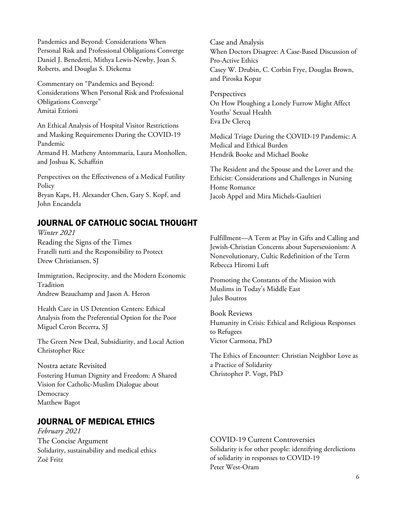Pandemics and Beyond: Considerations When Personal Risk and Professional Obligations Converge Daniel J. Benedetti, Mithya Lewis-Newby, Joan S. Roberts, and Douglas S. Diekema

Commentary on "Pandemics and Beyond: Considerations When Personal Risk and Professional Obligations Converge" Amitai Etzioni

An Ethical Analysis of Hospital Visitor Restrictions and Masking Requirements During the COVID-19 Pandemic Armand H. Matheny Antommaria, Laura Monhollen, and Joshua K. Schaffzin

Perspectives on the Effectiveness of a Medical Futility **Policy** Bryan Kaps, H. Alexander Chen, Gary S. Kopf, and John Encandela

## JOURNAL OF CATHOLIC SOCIAL THOUGHT

*Winter 2021* Reading the Signs of the Times Fratelli tutti and the Responsibility to Protect Drew Christiansen, SJ

Immigration, Reciprocity, and the Modern Economic Tradition Andrew Beauchamp and Jason A. Heron

Health Care in US Detention Centers: Ethical Analysis from the Preferential Option for the Poor Miguel Ceron Becerra, SJ

The Green New Deal, Subsidiarity, and Local Action Christopher Rice

Nostra aetate Revisited Fostering Human Dignity and Freedom: A Shared Vision for Catholic-Muslim Dialogue about **Democracy** Matthew Bagot

## JOURNAL OF MEDICAL ETHICS

*February 2021* The Concise Argument Solidarity, sustainability and medical ethics Zoë Fritz

Case and Analysis When Doctors Disagree: A Case-Based Discussion of Pro-Active Ethics Casey W. Drubin, C. Corbin Frye, Douglas Brown, and Piroska Kopar

**Perspectives** On How Ploughing a Lonely Furrow Might Affect Youths' Sexual Health Eva De Clercq

Medical Triage During the COVID-19 Pandemic: A Medical and Ethical Burden Hendrik Booke and Michael Booke

The Resident and the Spouse and the Lover and the Ethicist: Considerations and Challenges in Nursing Home Romance Jacob Appel and Mira Michels-Gaultieri

Fulfillment—A Term at Play in Gifts and Calling and Jewish-Christian Concerns about Supersessionism: A Nonevolutionary, Cultic Redefinition of the Term Rebecca Hiromi Luft

Promoting the Constants of the Mission with Muslims in Today's Middle East Jules Boutros

Book Reviews Humanity in Crisis: Ethical and Religious Responses to Refugees Victor Carmona, PhD

The Ethics of Encounter: Christian Neighbor Love as a Practice of Solidarity Christopher P. Vogt, PhD

COVID-19 Current Controversies Solidarity is for other people: identifying derelictions of solidarity in responses to COVID-19 Peter West-Oram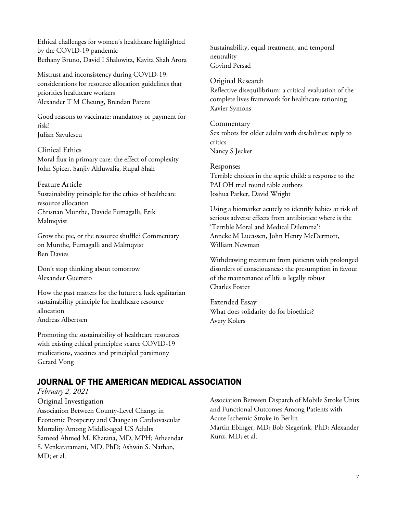Ethical challenges for women's healthcare highlighted by the COVID-19 pandemic Bethany Bruno, David I Shalowitz, Kavita Shah Arora

Mistrust and inconsistency during COVID-19: considerations for resource allocation guidelines that priorities healthcare workers Alexander T M Cheung, Brendan Parent

Good reasons to vaccinate: mandatory or payment for risk? Julian Savulescu

Clinical Ethics Moral flux in primary care: the effect of complexity John Spicer, Sanjiv Ahluwalia, Rupal Shah

Feature Article Sustainability principle for the ethics of healthcare resource allocation Christian Munthe, Davide Fumagalli, Erik Malmqvist

Grow the pie, or the resource shuffle? Commentary on Munthe, Fumagalli and Malmqvist Ben Davies

Don't stop thinking about tomorrow Alexander Guerrero

How the past matters for the future: a luck egalitarian sustainability principle for healthcare resource allocation Andreas Albertsen

Promoting the sustainability of healthcare resources with existing ethical principles: scarce COVID-19 medications, vaccines and principled parsimony Gerard Vong

Sustainability, equal treatment, and temporal neutrality Govind Persad

Original Research Reflective disequilibrium: a critical evaluation of the complete lives framework for healthcare rationing Xavier Symons

Commentary Sex robots for older adults with disabilities: reply to critics Nancy S Jecker

Responses Terrible choices in the septic child: a response to the PALOH trial round table authors Joshua Parker, David Wright

Using a biomarker acutely to identify babies at risk of serious adverse effects from antibiotics: where is the 'Terrible Moral and Medical Dilemma'? Anneke M Lucassen, John Henry McDermott, William Newman

Withdrawing treatment from patients with prolonged disorders of consciousness: the presumption in favour of the maintenance of life is legally robust Charles Foster

Extended Essay What does solidarity do for bioethics? Avery Kolers

## JOURNAL OF THE AMERICAN MEDICAL ASSOCIATION

*February 2, 2021* Original Investigation Association Between County-Level Change in Economic Prosperity and Change in Cardiovascular Mortality Among Middle-aged US Adults Sameed Ahmed M. Khatana, MD, MPH; Atheendar S. Venkataramani, MD, PhD; Ashwin S. Nathan, MD; et al.

Association Between Dispatch of Mobile Stroke Units and Functional Outcomes Among Patients with Acute Ischemic Stroke in Berlin Martin Ebinger, MD; Bob Siegerink, PhD; Alexander Kunz, MD; et al.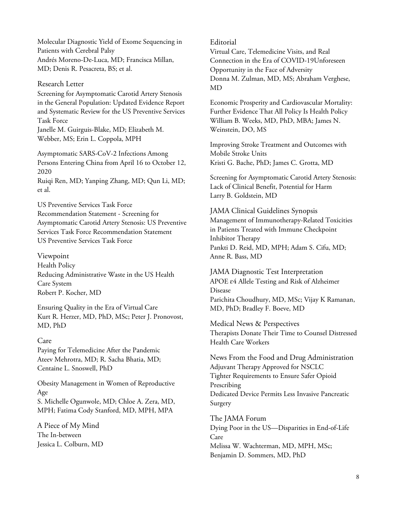Molecular Diagnostic Yield of Exome Sequencing in Patients with Cerebral Palsy Andrés Moreno-De-Luca, MD; Francisca Millan, MD; Denis R. Pesacreta, BS; et al.

#### Research Letter

Screening for Asymptomatic Carotid Artery Stenosis in the General Population: Updated Evidence Report and Systematic Review for the US Preventive Services Task Force Janelle M. Guirguis-Blake, MD; Elizabeth M.

Webber, MS; Erin L. Coppola, MPH

Asymptomatic SARS-CoV-2 Infections Among Persons Entering China from April 16 to October 12, 2020

Ruiqi Ren, MD; Yanping Zhang, MD; Qun Li, MD; et al.

US Preventive Services Task Force Recommendation Statement - Screening for Asymptomatic Carotid Artery Stenosis: US Preventive Services Task Force Recommendation Statement US Preventive Services Task Force

#### Viewpoint

Health Policy Reducing Administrative Waste in the US Health Care System Robert P. Kocher, MD

Ensuring Quality in the Era of Virtual Care Kurt R. Herzer, MD, PhD, MSc; Peter J. Pronovost, MD, PhD

#### Care

Paying for Telemedicine After the Pandemic Ateev Mehrotra, MD; R. Sacha Bhatia, MD; Centaine L. Snoswell, PhD

Obesity Management in Women of Reproductive Age S. Michelle Ogunwole, MD; Chloe A. Zera, MD, MPH; Fatima Cody Stanford, MD, MPH, MPA

A Piece of My Mind The In-between Jessica L. Colburn, MD

#### Editorial

Virtual Care, Telemedicine Visits, and Real Connection in the Era of COVID-19Unforeseen Opportunity in the Face of Adversity Donna M. Zulman, MD, MS; Abraham Verghese, MD

Economic Prosperity and Cardiovascular Mortality: Further Evidence That All Policy Is Health Policy William B. Weeks, MD, PhD, MBA; James N. Weinstein, DO, MS

Improving Stroke Treatment and Outcomes with Mobile Stroke Units Kristi G. Bache, PhD; James C. Grotta, MD

Screening for Asymptomatic Carotid Artery Stenosis: Lack of Clinical Benefit, Potential for Harm Larry B. Goldstein, MD

JAMA Clinical Guidelines Synopsis Management of Immunotherapy-Related Toxicities in Patients Treated with Immune Checkpoint Inhibitor Therapy Pankti D. Reid, MD, MPH; Adam S. Cifu, MD; Anne R. Bass, MD

JAMA Diagnostic Test Interpretation APOE ɛ4 Allele Testing and Risk of Alzheimer Disease Parichita Choudhury, MD, MSc; Vijay K Ramanan, MD, PhD; Bradley F. Boeve, MD

Medical News & Perspectives Therapists Donate Their Time to Counsel Distressed Health Care Workers

News From the Food and Drug Administration Adjuvant Therapy Approved for NSCLC Tighter Requirements to Ensure Safer Opioid Prescribing Dedicated Device Permits Less Invasive Pancreatic Surgery

The JAMA Forum Dying Poor in the US—Disparities in End-of-Life Care Melissa W. Wachterman, MD, MPH, MSc; Benjamin D. Sommers, MD, PhD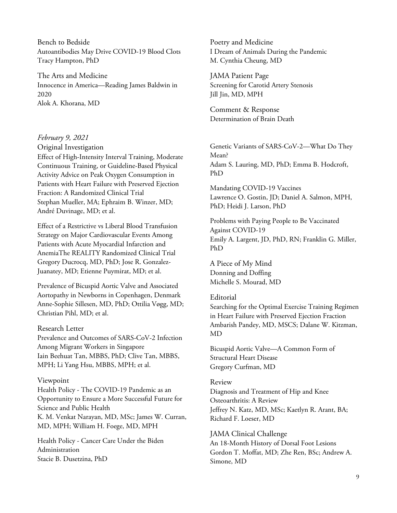Bench to Bedside Autoantibodies May Drive COVID-19 Blood Clots Tracy Hampton, PhD

The Arts and Medicine Innocence in America—Reading James Baldwin in 2020 Alok A. Khorana, MD

#### *February 9, 2021*

Original Investigation

Effect of High-Intensity Interval Training, Moderate Continuous Training, or Guideline-Based Physical Activity Advice on Peak Oxygen Consumption in Patients with Heart Failure with Preserved Ejection Fraction: A Randomized Clinical Trial Stephan Mueller, MA; Ephraim B. Winzer, MD; André Duvinage, MD; et al.

Effect of a Restrictive vs Liberal Blood Transfusion Strategy on Major Cardiovascular Events Among Patients with Acute Myocardial Infarction and AnemiaThe REALITY Randomized Clinical Trial Gregory Ducrocq, MD, PhD; Jose R. Gonzalez-Juanatey, MD; Etienne Puymirat, MD; et al.

Prevalence of Bicuspid Aortic Valve and Associated Aortopathy in Newborns in Copenhagen, Denmark Anne-Sophie Sillesen, MD, PhD; Ottilia Vøgg, MD; Christian Pihl, MD; et al.

#### Research Letter

Prevalence and Outcomes of SARS-CoV-2 Infection Among Migrant Workers in Singapore Iain Beehuat Tan, MBBS, PhD; Clive Tan, MBBS, MPH; Li Yang Hsu, MBBS, MPH; et al.

#### Viewpoint

Health Policy - The COVID-19 Pandemic as an Opportunity to Ensure a More Successful Future for Science and Public Health K. M. Venkat Narayan, MD, MSc; James W. Curran, MD, MPH; William H. Foege, MD, MPH

Health Policy - Cancer Care Under the Biden Administration Stacie B. Dusetzina, PhD

Poetry and Medicine I Dream of Animals During the Pandemic M. Cynthia Cheung, MD

JAMA Patient Page Screening for Carotid Artery Stenosis Jill Jin, MD, MPH

Comment & Response Determination of Brain Death

Genetic Variants of SARS-CoV-2—What Do They Mean? Adam S. Lauring, MD, PhD; Emma B. Hodcroft, PhD

Mandating COVID-19 Vaccines Lawrence O. Gostin, JD; Daniel A. Salmon, MPH, PhD; Heidi J. Larson, PhD

Problems with Paying People to Be Vaccinated Against COVID-19 Emily A. Largent, JD, PhD, RN; Franklin G. Miller, PhD

A Piece of My Mind Donning and Doffing Michelle S. Mourad, MD

#### Editorial

Searching for the Optimal Exercise Training Regimen in Heart Failure with Preserved Ejection Fraction Ambarish Pandey, MD, MSCS; Dalane W. Kitzman, MD

Bicuspid Aortic Valve—A Common Form of Structural Heart Disease Gregory Curfman, MD

#### Review

Diagnosis and Treatment of Hip and Knee Osteoarthritis: A Review Jeffrey N. Katz, MD, MSc; Kaetlyn R. Arant, BA; Richard F. Loeser, MD

JAMA Clinical Challenge An 18-Month History of Dorsal Foot Lesions Gordon T. Moffat, MD; Zhe Ren, BSc; Andrew A. Simone, MD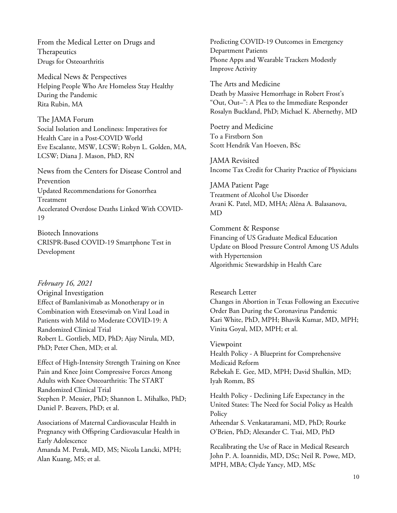From the Medical Letter on Drugs and Therapeutics Drugs for Osteoarthritis

Medical News & Perspectives Helping People Who Are Homeless Stay Healthy During the Pandemic Rita Rubin, MA

The JAMA Forum Social Isolation and Loneliness: Imperatives for Health Care in a Post-COVID World Eve Escalante, MSW, LCSW; Robyn L. Golden, MA, LCSW; Diana J. Mason, PhD, RN

News from the Centers for Disease Control and Prevention Updated Recommendations for Gonorrhea Treatment Accelerated Overdose Deaths Linked With COVID-19

Biotech Innovations CRISPR-Based COVID-19 Smartphone Test in Development

#### *February 16, 2021*

Original Investigation Effect of Bamlanivimab as Monotherapy or in Combination with Etesevimab on Viral Load in Patients with Mild to Moderate COVID-19: A Randomized Clinical Trial Robert L. Gottlieb, MD, PhD; Ajay Nirula, MD, PhD; Peter Chen, MD; et al.

Effect of High-Intensity Strength Training on Knee Pain and Knee Joint Compressive Forces Among Adults with Knee Osteoarthritis: The START Randomized Clinical Trial Stephen P. Messier, PhD; Shannon L. Mihalko, PhD; Daniel P. Beavers, PhD; et al.

Associations of Maternal Cardiovascular Health in Pregnancy with Offspring Cardiovascular Health in Early Adolescence Amanda M. Perak, MD, MS; Nicola Lancki, MPH; Alan Kuang, MS; et al.

Predicting COVID-19 Outcomes in Emergency Department Patients Phone Apps and Wearable Trackers Modestly Improve Activity

The Arts and Medicine Death by Massive Hemorrhage in Robert Frost's "Out, Out–": A Plea to the Immediate Responder Rosalyn Buckland, PhD; Michael K. Abernethy, MD

Poetry and Medicine To a Firstborn Son Scott Hendrik Van Hoeven, BSc

JAMA Revisited Income Tax Credit for Charity Practice of Physicians

JAMA Patient Page Treatment of Alcohol Use Disorder Avani K. Patel, MD, MHA; Alëna A. Balasanova, MD

Comment & Response Financing of US Graduate Medical Education Update on Blood Pressure Control Among US Adults with Hypertension Algorithmic Stewardship in Health Care

Research Letter Changes in Abortion in Texas Following an Executive Order Ban During the Coronavirus Pandemic Kari White, PhD, MPH; Bhavik Kumar, MD, MPH; Vinita Goyal, MD, MPH; et al.

#### Viewpoint

Health Policy - A Blueprint for Comprehensive Medicaid Reform Rebekah E. Gee, MD, MPH; David Shulkin, MD; Iyah Romm, BS

Health Policy - Declining Life Expectancy in the United States: The Need for Social Policy as Health Policy

Atheendar S. Venkataramani, MD, PhD; Rourke O'Brien, PhD; Alexander C. Tsai, MD, PhD

Recalibrating the Use of Race in Medical Research John P. A. Ioannidis, MD, DSc; Neil R. Powe, MD, MPH, MBA; Clyde Yancy, MD, MSc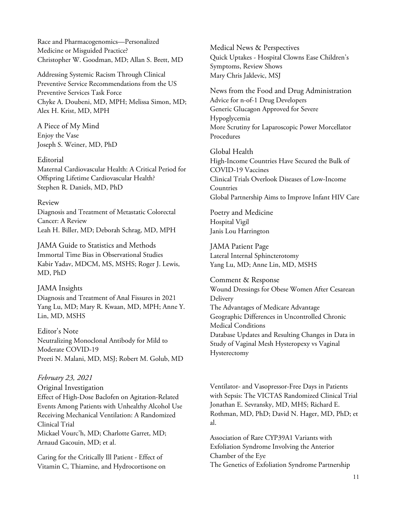Race and Pharmacogenomics—Personalized Medicine or Misguided Practice? Christopher W. Goodman, MD; Allan S. Brett, MD

Addressing Systemic Racism Through Clinical Preventive Service Recommendations from the US Preventive Services Task Force Chyke A. Doubeni, MD, MPH; Melissa Simon, MD; Alex H. Krist, MD, MPH

A Piece of My Mind Enjoy the Vase Joseph S. Weiner, MD, PhD

Editorial Maternal Cardiovascular Health: A Critical Period for Offspring Lifetime Cardiovascular Health? Stephen R. Daniels, MD, PhD

#### Review

Diagnosis and Treatment of Metastatic Colorectal Cancer: A Review Leah H. Biller, MD; Deborah Schrag, MD, MPH

JAMA Guide to Statistics and Methods Immortal Time Bias in Observational Studies Kabir Yadav, MDCM, MS, MSHS; Roger J. Lewis, MD, PhD

#### JAMA Insights

Diagnosis and Treatment of Anal Fissures in 2021 Yang Lu, MD; Mary R. Kwaan, MD, MPH; Anne Y. Lin, MD, MSHS

Editor's Note Neutralizing Monoclonal Antibody for Mild to Moderate COVID-19 Preeti N. Malani, MD, MSJ; Robert M. Golub, MD

#### *February 23, 2021*

Original Investigation Effect of High-Dose Baclofen on Agitation-Related Events Among Patients with Unhealthy Alcohol Use Receiving Mechanical Ventilation: A Randomized Clinical Trial Mickael Vourc'h, MD; Charlotte Garret, MD; Arnaud Gacouin, MD; et al.

Caring for the Critically Ill Patient - Effect of Vitamin C, Thiamine, and Hydrocortisone on Medical News & Perspectives Quick Uptakes - Hospital Clowns Ease Children's Symptoms, Review Shows Mary Chris Jaklevic, MSJ

News from the Food and Drug Administration Advice for n-of-1 Drug Developers Generic Glucagon Approved for Severe Hypoglycemia More Scrutiny for Laparoscopic Power Morcellator Procedures

Global Health High-Income Countries Have Secured the Bulk of COVID-19 Vaccines Clinical Trials Overlook Diseases of Low-Income Countries Global Partnership Aims to Improve Infant HIV Care

Poetry and Medicine Hospital Vigil Janis Lou Harrington

JAMA Patient Page Lateral Internal Sphincterotomy Yang Lu, MD; Anne Lin, MD, MSHS

Comment & Response Wound Dressings for Obese Women After Cesarean **Delivery** The Advantages of Medicare Advantage Geographic Differences in Uncontrolled Chronic Medical Conditions Database Updates and Resulting Changes in Data in Study of Vaginal Mesh Hysteropexy vs Vaginal Hysterectomy

Ventilator- and Vasopressor-Free Days in Patients with Sepsis: The VICTAS Randomized Clinical Trial Jonathan E. Sevransky, MD, MHS; Richard E. Rothman, MD, PhD; David N. Hager, MD, PhD; et al.

Association of Rare CYP39A1 Variants with Exfoliation Syndrome Involving the Anterior Chamber of the Eye The Genetics of Exfoliation Syndrome Partnership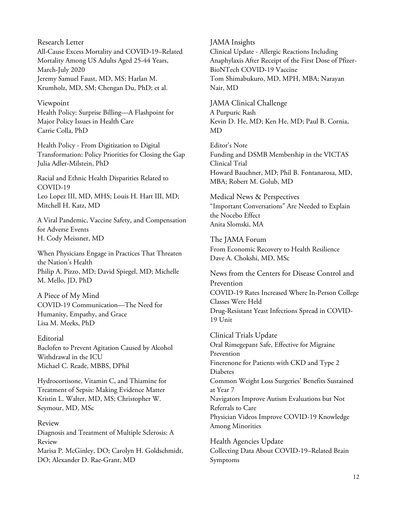Research Letter All-Cause Excess Mortality and COVID-19–Related Mortality Among US Adults Aged 25-44 Years, March-July 2020 Jeremy Samuel Faust, MD, MS; Harlan M. Krumholz, MD, SM; Chengan Du, PhD; et al.

#### Viewpoint

Health Policy: Surprise Billing—A Flashpoint for Major Policy Issues in Health Care Carrie Colla, PhD

Health Policy - From Digitization to Digital Transformation: Policy Priorities for Closing the Gap Julia Adler-Milstein, PhD

Racial and Ethnic Health Disparities Related to COVID-19 Leo Lopez III, MD, MHS; Louis H. Hart III, MD; Mitchell H. Katz, MD

A Viral Pandemic, Vaccine Safety, and Compensation for Adverse Events H. Cody Meissner, MD

When Physicians Engage in Practices That Threaten the Nation's Health Philip A. Pizzo, MD; David Spiegel, MD; Michelle M. Mello, JD, PhD

A Piece of My Mind COVID-19 Communication—The Need for Humanity, Empathy, and Grace Lisa M. Meeks, PhD

Editorial Baclofen to Prevent Agitation Caused by Alcohol Withdrawal in the ICU Michael C. Reade, MBBS, DPhil

Hydrocortisone, Vitamin C, and Thiamine for Treatment of Sepsis: Making Evidence Matter Kristin L. Walter, MD, MS; Christopher W. Seymour, MD, MSc

Review Diagnosis and Treatment of Multiple Sclerosis: A Review Marisa P. McGinley, DO; Carolyn H. Goldschmidt, DO; Alexander D. Rae-Grant, MD

#### JAMA Insights

Clinical Update - Allergic Reactions Including Anaphylaxis After Receipt of the First Dose of Pfizer-BioNTech COVID-19 Vaccine Tom Shimabukuro, MD, MPH, MBA; Narayan Nair, MD

JAMA Clinical Challenge A Purpuric Rash Kevin D. He, MD; Ken He, MD; Paul B. Cornia, MD

Editor's Note Funding and DSMB Membership in the VICTAS Clinical Trial Howard Bauchner, MD; Phil B. Fontanarosa, MD, MBA; Robert M. Golub, MD

Medical News & Perspectives "Important Conversations" Are Needed to Explain the Nocebo Effect Anita Slomski, MA

The JAMA Forum From Economic Recovery to Health Resilience Dave A. Chokshi, MD, MSc

News from the Centers for Disease Control and Prevention COVID-19 Rates Increased Where In-Person College Classes Were Held Drug-Resistant Yeast Infections Spread in COVID-19 Unit

Clinical Trials Update Oral Rimegepant Safe, Effective for Migraine Prevention Finerenone for Patients with CKD and Type 2 Diabetes Common Weight Loss Surgeries' Benefits Sustained at Year 7 Navigators Improve Autism Evaluations but Not Referrals to Care Physician Videos Improve COVID-19 Knowledge Among Minorities

Health Agencies Update Collecting Data About COVID-19–Related Brain Symptoms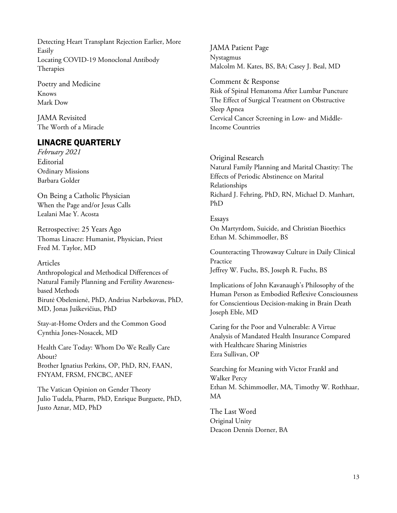Detecting Heart Transplant Rejection Earlier, More Easily Locating COVID-19 Monoclonal Antibody Therapies

Poetry and Medicine Knows Mark Dow

JAMA Revisited The Worth of a Miracle

## LINACRE QUARTERLY

*February 2021* Editorial Ordinary Missions Barbara Golder

On Being a Catholic Physician When the Page and/or Jesus Calls Lealani Mae Y. Acosta

Retrospective: 25 Years Ago Thomas Linacre: Humanist, Physician, Priest Fred M. Taylor, MD

#### Articles

Anthropological and Methodical Differences of Natural Family Planning and Fertility Awarenessbased Methods Birutė Obelenienė, PhD, Andrius Narbekovas, PhD, MD, Jonas Juškevičius, PhD

Stay-at-Home Orders and the Common Good Cynthia Jones-Nosacek, MD

Health Care Today: Whom Do We Really Care About? Brother Ignatius Perkins, OP, PhD, RN, FAAN, FNYAM, FRSM, FNCBC, ANEF

The Vatican Opinion on Gender Theory Julio Tudela, Pharm, PhD, Enrique Burguete, PhD, Justo Aznar, MD, PhD

JAMA Patient Page Nystagmus Malcolm M. Kates, BS, BA; Casey J. Beal, MD

Comment & Response Risk of Spinal Hematoma After Lumbar Puncture The Effect of Surgical Treatment on Obstructive Sleep Apnea Cervical Cancer Screening in Low- and Middle-Income Countries

Original Research Natural Family Planning and Marital Chastity: The Effects of Periodic Abstinence on Marital Relationships Richard J. Fehring, PhD, RN, Michael D. Manhart,

#### Essays

PhD

On Martyrdom, Suicide, and Christian Bioethics Ethan M. Schimmoeller, BS

Counteracting Throwaway Culture in Daily Clinical Practice Jeffrey W. Fuchs, BS, Joseph R. Fuchs, BS

Implications of John Kavanaugh's Philosophy of the Human Person as Embodied Reflexive Consciousness for Conscientious Decision-making in Brain Death Joseph Eble, MD

Caring for the Poor and Vulnerable: A Virtue Analysis of Mandated Health Insurance Compared with Healthcare Sharing Ministries Ezra Sullivan, OP

Searching for Meaning with Victor Frankl and Walker Percy Ethan M. Schimmoeller, MA, Timothy W. Rothhaar, MA

The Last Word Original Unity Deacon Dennis Dorner, BA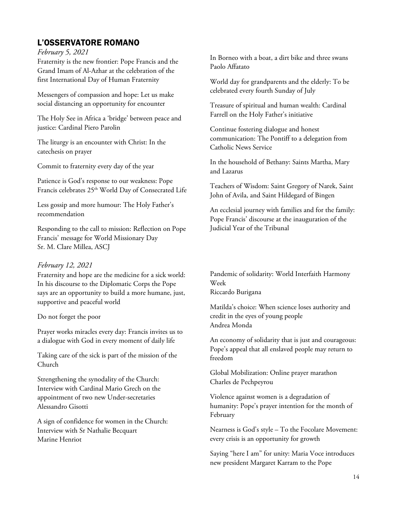## L'OSSERVATORE ROMANO

*February 5, 2021*

Fraternity is the new frontier: Pope Francis and the Grand Imam of Al-Azhar at the celebration of the first International Day of Human Fraternity

Messengers of compassion and hope: Let us make social distancing an opportunity for encounter

The Holy See in Africa a 'bridge' between peace and justice: Cardinal Piero Parolin

The liturgy is an encounter with Christ: In the catechesis on prayer

Commit to fraternity every day of the year

Patience is God's response to our weakness: Pope Francis celebrates 25<sup>th</sup> World Day of Consecrated Life

Less gossip and more humour: The Holy Father's recommendation

Responding to the call to mission: Reflection on Pope Francis' message for World Missionary Day Sr. M. Clare Millea, ASCJ

#### *February 12, 2021*

Fraternity and hope are the medicine for a sick world: In his discourse to the Diplomatic Corps the Pope says are an opportunity to build a more humane, just, supportive and peaceful world

#### Do not forget the poor

Prayer works miracles every day: Francis invites us to a dialogue with God in every moment of daily life

Taking care of the sick is part of the mission of the Church

Strengthening the synodality of the Church: Interview with Cardinal Mario Grech on the appointment of two new Under-secretaries Alessandro Gisotti

A sign of confidence for women in the Church: Interview with Sr Nathalie Becquart Marine Henriot

In Borneo with a boat, a dirt bike and three swans Paolo Affatato

World day for grandparents and the elderly: To be celebrated every fourth Sunday of July

Treasure of spiritual and human wealth: Cardinal Farrell on the Holy Father's initiative

Continue fostering dialogue and honest communication: The Pontiff to a delegation from Catholic News Service

In the household of Bethany: Saints Martha, Mary and Lazarus

Teachers of Wisdom: Saint Gregory of Narek, Saint John of Avila, and Saint Hildegard of Bingen

An ecclesial journey with families and for the family: Pope Francis' discourse at the inauguration of the Judicial Year of the Tribunal

Pandemic of solidarity: World Interfaith Harmony Week Riccardo Burigana

Matilda's choice: When science loses authority and credit in the eyes of young people Andrea Monda

An economy of solidarity that is just and courageous: Pope's appeal that all enslaved people may return to freedom

Global Mobilization: Online prayer marathon Charles de Pechpeyrou

Violence against women is a degradation of humanity: Pope's prayer intention for the month of February

Nearness is God's style – To the Focolare Movement: every crisis is an opportunity for growth

Saying "here I am" for unity: Maria Voce introduces new president Margaret Karram to the Pope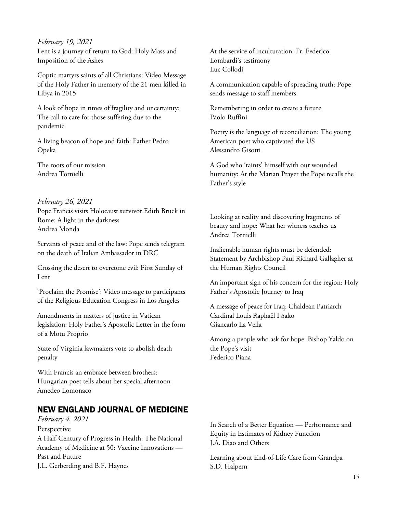*February 19, 2021*

Lent is a journey of return to God: Holy Mass and Imposition of the Ashes

Coptic martyrs saints of all Christians: Video Message of the Holy Father in memory of the 21 men killed in Libya in 2015

A look of hope in times of fragility and uncertainty: The call to care for those suffering due to the pandemic

A living beacon of hope and faith: Father Pedro Opeka

The roots of our mission Andrea Tornielli

### *February 26, 2021*

Pope Francis visits Holocaust survivor Edith Bruck in Rome: A light in the darkness Andrea Monda

Servants of peace and of the law: Pope sends telegram on the death of Italian Ambassador in DRC

Crossing the desert to overcome evil: First Sunday of Lent

'Proclaim the Promise': Video message to participants of the Religious Education Congress in Los Angeles

Amendments in matters of justice in Vatican legislation: Holy Father's Apostolic Letter in the form of a Motu Proprio

State of Virginia lawmakers vote to abolish death penalty

With Francis an embrace between brothers: Hungarian poet tells about her special afternoon Amedeo Lomonaco

## NEW ENGLAND JOURNAL OF MEDICINE

```
February 4, 2021
Perspective
A Half-Century of Progress in Health: The National 
Academy of Medicine at 50: Vaccine Innovations —
Past and Future
J.L. Gerberding and B.F. Haynes
```
At the service of inculturation: Fr. Federico Lombardi's testimony Luc Collodi

A communication capable of spreading truth: Pope sends message to staff members

Remembering in order to create a future Paolo Ruffini

Poetry is the language of reconciliation: The young American poet who captivated the US Alessandro Gisotti

A God who 'taints' himself with our wounded humanity: At the Marian Prayer the Pope recalls the Father's style

Looking at reality and discovering fragments of beauty and hope: What her witness teaches us Andrea Tornielli

Inalienable human rights must be defended: Statement by Archbishop Paul Richard Gallagher at the Human Rights Council

An important sign of his concern for the region: Holy Father's Apostolic Journey to Iraq

A message of peace for Iraq: Chaldean Patriarch Cardinal Louis Raphaël I Sako Giancarlo La Vella

Among a people who ask for hope: Bishop Yaldo on the Pope's visit Federico Piana

In Search of a Better Equation — Performance and Equity in Estimates of Kidney Function J.A. Diao and Others

Learning about End-of-Life Care from Grandpa S.D. Halpern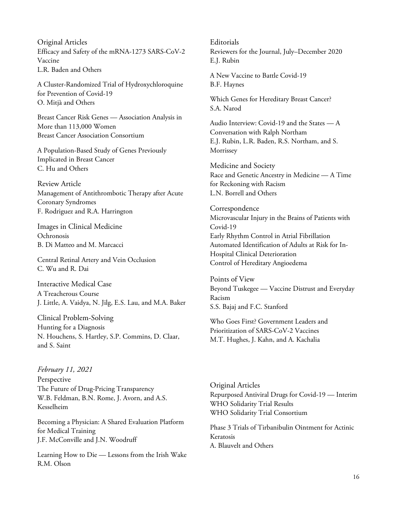Original Articles Efficacy and Safety of the mRNA-1273 SARS-CoV-2 Vaccine L.R. Baden and Others

A Cluster-Randomized Trial of Hydroxychloroquine for Prevention of Covid-19 O. Mitjà and Others

Breast Cancer Risk Genes — Association Analysis in More than 113,000 Women Breast Cancer Association Consortium

A Population-Based Study of Genes Previously Implicated in Breast Cancer C. Hu and Others

Review Article Management of Antithrombotic Therapy after Acute Coronary Syndromes F. Rodriguez and R.A. Harrington

Images in Clinical Medicine **Ochronosis** B. Di Matteo and M. Marcacci

Central Retinal Artery and Vein Occlusion C. Wu and R. Dai

Interactive Medical Case A Treacherous Course J. Little, A. Vaidya, N. Jilg, E.S. Lau, and M.A. Baker

Clinical Problem-Solving Hunting for a Diagnosis N. Houchens, S. Hartley, S.P. Commins, D. Claar, and S. Saint

*February 11, 2021* Perspective The Future of Drug-Pricing Transparency W.B. Feldman, B.N. Rome, J. Avorn, and A.S. Kesselheim

Becoming a Physician: A Shared Evaluation Platform for Medical Training J.F. McConville and J.N. Woodruff

Learning How to Die — Lessons from the Irish Wake R.M. Olson

Editorials Reviewers for the Journal, July–December 2020 E.J. Rubin

A New Vaccine to Battle Covid-19 B.F. Haynes

Which Genes for Hereditary Breast Cancer? S.A. Narod

Audio Interview: Covid-19 and the States — A Conversation with Ralph Northam E.J. Rubin, L.R. Baden, R.S. Northam, and S. Morrissey

Medicine and Society Race and Genetic Ancestry in Medicine — A Time for Reckoning with Racism L.N. Borrell and Others

**Correspondence** Microvascular Injury in the Brains of Patients with Covid-19 Early Rhythm Control in Atrial Fibrillation Automated Identification of Adults at Risk for In-Hospital Clinical Deterioration Control of Hereditary Angioedema

Points of View Beyond Tuskegee — Vaccine Distrust and Everyday Racism S.S. Bajaj and F.C. Stanford

Who Goes First? Government Leaders and Prioritization of SARS-CoV-2 Vaccines M.T. Hughes, J. Kahn, and A. Kachalia

Original Articles Repurposed Antiviral Drugs for Covid-19 — Interim WHO Solidarity Trial Results WHO Solidarity Trial Consortium

Phase 3 Trials of Tirbanibulin Ointment for Actinic Keratosis A. Blauvelt and Others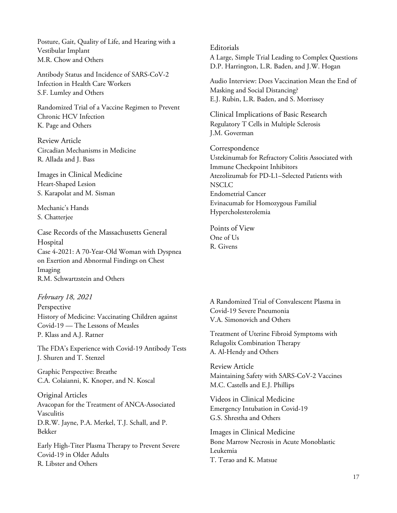Posture, Gait, Quality of Life, and Hearing with a Vestibular Implant M.R. Chow and Others

Antibody Status and Incidence of SARS-CoV-2 Infection in Health Care Workers S.F. Lumley and Others

Randomized Trial of a Vaccine Regimen to Prevent Chronic HCV Infection K. Page and Others

Review Article Circadian Mechanisms in Medicine R. Allada and J. Bass

Images in Clinical Medicine Heart-Shaped Lesion S. Karapolat and M. Sisman

Mechanic's Hands S. Chatterjee

Case Records of the Massachusetts General Hospital Case 4-2021: A 70-Year-Old Woman with Dyspnea on Exertion and Abnormal Findings on Chest Imaging R.M. Schwartzstein and Others

*February 18, 2021*

Perspective History of Medicine: Vaccinating Children against Covid-19 — The Lessons of Measles P. Klass and A.J. Ratner

The FDA's Experience with Covid-19 Antibody Tests J. Shuren and T. Stenzel

Graphic Perspective: Breathe C.A. Colaianni, K. Knoper, and N. Koscal

Original Articles Avacopan for the Treatment of ANCA-Associated Vasculitis D.R.W. Jayne, P.A. Merkel, T.J. Schall, and P. Bekker

Early High-Titer Plasma Therapy to Prevent Severe Covid-19 in Older Adults R. Libster and Others

**Editorials** 

A Large, Simple Trial Leading to Complex Questions D.P. Harrington, L.R. Baden, and J.W. Hogan

Audio Interview: Does Vaccination Mean the End of Masking and Social Distancing? E.J. Rubin, L.R. Baden, and S. Morrissey

Clinical Implications of Basic Research Regulatory T Cells in Multiple Sclerosis J.M. Goverman

**Correspondence** Ustekinumab for Refractory Colitis Associated with Immune Checkpoint Inhibitors Atezolizumab for PD-L1–Selected Patients with NSCLC Endometrial Cancer Evinacumab for Homozygous Familial Hypercholesterolemia

Points of View One of Us R. Givens

A Randomized Trial of Convalescent Plasma in Covid-19 Severe Pneumonia V.A. Simonovich and Others

Treatment of Uterine Fibroid Symptoms with Relugolix Combination Therapy A. Al-Hendy and Others

Review Article Maintaining Safety with SARS-CoV-2 Vaccines M.C. Castells and E.J. Phillips

Videos in Clinical Medicine Emergency Intubation in Covid-19 G.S. Shrestha and Others

Images in Clinical Medicine Bone Marrow Necrosis in Acute Monoblastic Leukemia T. Terao and K. Matsue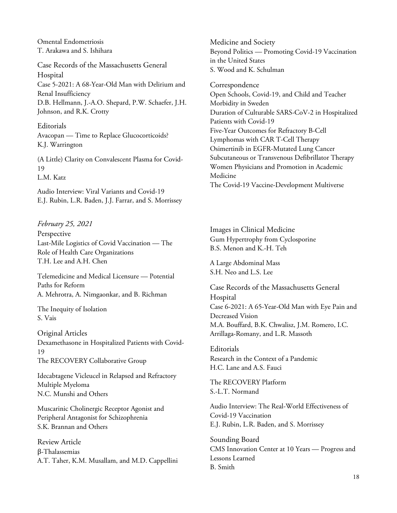Omental Endometriosis T. Arakawa and S. Ishihara

Case Records of the Massachusetts General Hospital Case 5-2021: A 68-Year-Old Man with Delirium and Renal Insufficiency D.B. Hellmann, J.-A.O. Shepard, P.W. Schaefer, J.H. Johnson, and R.K. Crotty

Editorials Avacopan — Time to Replace Glucocorticoids? K.J. Warrington

(A Little) Clarity on Convalescent Plasma for Covid-19 L.M. Katz

Audio Interview: Viral Variants and Covid-19 E.J. Rubin, L.R. Baden, J.J. Farrar, and S. Morrissey

*February 25, 2021* Perspective Last-Mile Logistics of Covid Vaccination — The Role of Health Care Organizations T.H. Lee and A.H. Chen

Telemedicine and Medical Licensure — Potential Paths for Reform A. Mehrotra, A. Nimgaonkar, and B. Richman

The Inequity of Isolation S. Vais

Original Articles Dexamethasone in Hospitalized Patients with Covid-19 The RECOVERY Collaborative Group

Idecabtagene Vicleucel in Relapsed and Refractory Multiple Myeloma N.C. Munshi and Others

Muscarinic Cholinergic Receptor Agonist and Peripheral Antagonist for Schizophrenia S.K. Brannan and Others

Review Article β-Thalassemias A.T. Taher, K.M. Musallam, and M.D. Cappellini Medicine and Society Beyond Politics — Promoting Covid-19 Vaccination in the United States S. Wood and K. Schulman

Correspondence Open Schools, Covid-19, and Child and Teacher Morbidity in Sweden Duration of Culturable SARS-CoV-2 in Hospitalized Patients with Covid-19 Five-Year Outcomes for Refractory B-Cell Lymphomas with CAR T-Cell Therapy Osimertinib in EGFR-Mutated Lung Cancer Subcutaneous or Transvenous Defibrillator Therapy Women Physicians and Promotion in Academic Medicine The Covid-19 Vaccine-Development Multiverse

Images in Clinical Medicine Gum Hypertrophy from Cyclosporine B.S. Menon and K.-H. Teh

A Large Abdominal Mass S.H. Neo and L.S. Lee

Case Records of the Massachusetts General Hospital Case 6-2021: A 65-Year-Old Man with Eye Pain and Decreased Vision M.A. Bouffard, B.K. Chwalisz, J.M. Romero, I.C. Arrillaga-Romany, and L.R. Massoth

**Editorials** Research in the Context of a Pandemic H.C. Lane and A.S. Fauci

The RECOVERY Platform S.-L.T. Normand

Audio Interview: The Real-World Effectiveness of Covid-19 Vaccination E.J. Rubin, L.R. Baden, and S. Morrissey

Sounding Board CMS Innovation Center at 10 Years — Progress and Lessons Learned B. Smith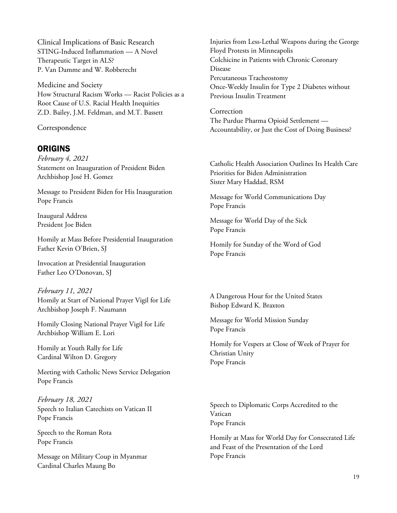Clinical Implications of Basic Research STING-Induced Inflammation — A Novel Therapeutic Target in ALS? P. Van Damme and W. Robberecht

Medicine and Society How Structural Racism Works — Racist Policies as a Root Cause of U.S. Racial Health Inequities Z.D. Bailey, J.M. Feldman, and M.T. Bassett

Correspondence

## ORIGINS

*February 4, 2021* Statement on Inauguration of President Biden Archbishop José H. Gomez

Message to President Biden for His Inauguration Pope Francis

Inaugural Address President Joe Biden

Homily at Mass Before Presidential Inauguration Father Kevin O'Brien, SJ

Invocation at Presidential Inauguration Father Leo O'Donovan, SJ

*February 11, 2021* Homily at Start of National Prayer Vigil for Life Archbishop Joseph F. Naumann

Homily Closing National Prayer Vigil for Life Archbishop William E. Lori

Homily at Youth Rally for Life Cardinal Wilton D. Gregory

Meeting with Catholic News Service Delegation Pope Francis

*February 18, 2021* Speech to Italian Catechists on Vatican II Pope Francis

Speech to the Roman Rota Pope Francis

Message on Military Coup in Myanmar Cardinal Charles Maung Bo

Injuries from Less-Lethal Weapons during the George Floyd Protests in Minneapolis Colchicine in Patients with Chronic Coronary Disease Percutaneous Tracheostomy Once-Weekly Insulin for Type 2 Diabetes without Previous Insulin Treatment

Correction The Purdue Pharma Opioid Settlement — Accountability, or Just the Cost of Doing Business?

Catholic Health Association Outlines Its Health Care Priorities for Biden Administration Sister Mary Haddad, RSM

Message for World Communications Day Pope Francis

Message for World Day of the Sick Pope Francis

Homily for Sunday of the Word of God Pope Francis

A Dangerous Hour for the United States Bishop Edward K. Braxton

Message for World Mission Sunday Pope Francis

Homily for Vespers at Close of Week of Prayer for Christian Unity Pope Francis

Speech to Diplomatic Corps Accredited to the Vatican Pope Francis

Homily at Mass for World Day for Consecrated Life and Feast of the Presentation of the Lord Pope Francis